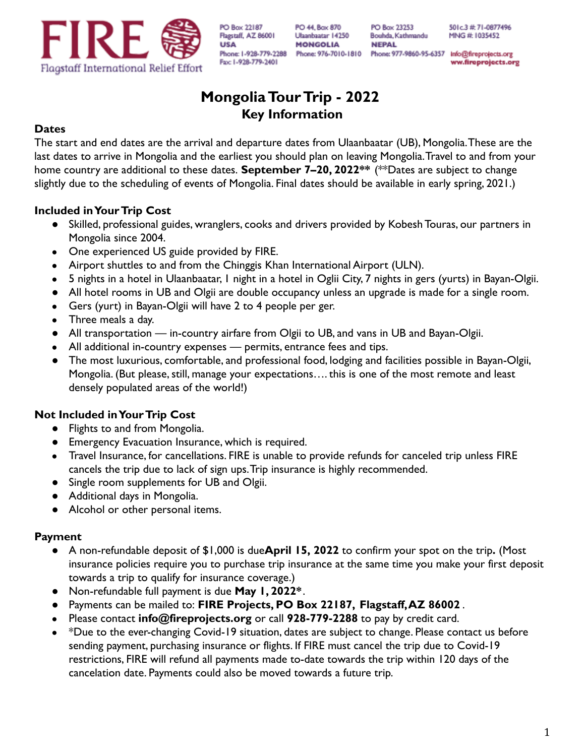

PO 44, Box 870 Ulaanbaatar 14250 **MONGOLIA** 

PO Box 23253 Bouhda, Kathmandu **NEPAL** 

501c.3 # 71-0877496 MNG #: 1035452

Phone: 976-7010-1810 Phone: 977-9860-95-6357 Info@fireprojects.org ww.fireprojects.org

# **MongoliaTourTrip - 2022 Key Information**

## **Dates**

The start and end dates are the arrival and departure dates from Ulaanbaatar (UB), Mongolia.These are the last dates to arrive in Mongolia and the earliest you should plan on leaving Mongolia.Travel to and from your home country are additional to these dates. **September 7–20, 2022\*\*** (\*\*Dates are subject to change slightly due to the scheduling of events of Mongolia. Final dates should be available in early spring, 2021.)

## **Included in Your Trip Cost**

- Skilled, professional guides, wranglers, cooks and drivers provided by Kobesh Touras, our partners in Mongolia since 2004.
- One experienced US guide provided by FIRE.
- Airport shuttles to and from the Chinggis Khan International Airport (ULN).
- 5 nights in a hotel in Ulaanbaatar, 1 night in a hotel in Oglii City, 7 nights in gers (yurts) in Bayan-Olgii.
- All hotel rooms in UB and Olgii are double occupancy unless an upgrade is made for a single room.
- Gers (yurt) in Bayan-Olgii will have 2 to 4 people per ger.
- Three meals a day.
- All transportation in-country airfare from Olgii to UB, and vans in UB and Bayan-Olgii.
- All additional in-country expenses permits, entrance fees and tips.
- The most luxurious, comfortable, and professional food, lodging and facilities possible in Bayan-Olgii, Mongolia. (But please, still, manage your expectations…. this is one of the most remote and least densely populated areas of the world!)

# **Not Included in Your Trip Cost**

- Flights to and from Mongolia.
- Emergency Evacuation Insurance, which is required.
- Travel Insurance, for cancellations. FIRE is unable to provide refunds for canceled trip unless FIRE cancels the trip due to lack of sign ups.Trip insurance is highly recommended.
- Single room supplements for UB and Olgii.
- Additional days in Mongolia.
- Alcohol or other personal items.

## **Payment**

- A non-refundable deposit of \$1,000 is due**April 15, 2022** to confirm your spot on the trip**.** (Most insurance policies require you to purchase trip insurance at the same time you make your first deposit towards a trip to qualify for insurance coverage.)
- Non-refundable full payment is due **May 1, 2022\***.
- Payments can be mailed to: **FIRE Projects, PO Box 22187, Flagstaff,AZ 86002** .
- Please contact **info@fireprojects.org** or call **928-779-2288** to pay by credit card.
- \*Due to the ever-changing Covid-19 situation, dates are subject to change. Please contact us before sending payment, purchasing insurance or flights. If FIRE must cancel the trip due to Covid-19 restrictions, FIRE will refund all payments made to-date towards the trip within 120 days of the cancelation date. Payments could also be moved towards a future trip.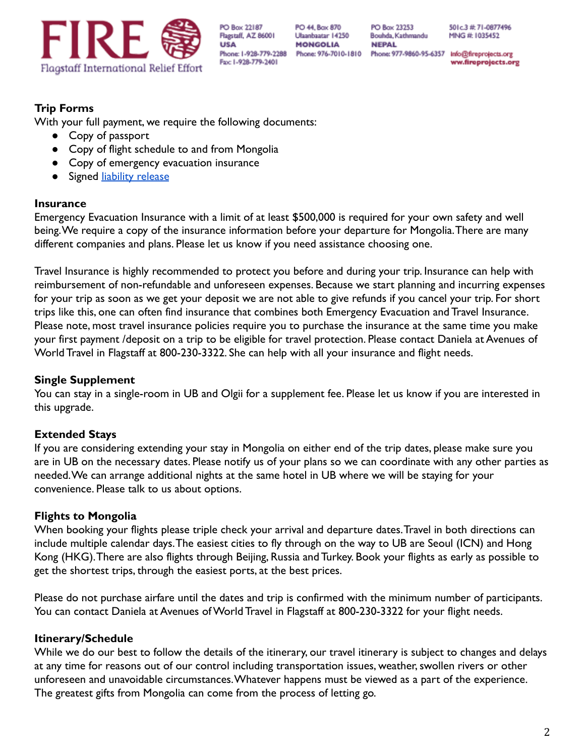

PO 44, Box 870 Ulaanbaatar 14250 **MONGOLIA** 

PO Box 23253 Bouhda, Kathmandu **NEPAL** 

501c.3 # 71-0877496 MNG #: 1035452

Phone: 976-7010-1810 Phone: 977-9860-95-6357 Info@fireprojects.org ww.fireprojects.org

# **Trip Forms**

With your full payment, we require the following documents:

- Copy of passport
- Copy of flight schedule to and from Mongolia
- Copy of emergency evacuation insurance
- **•** Signed [liability release](http://www.fireprojects.org/wp-content/uploads/2017/08/2017-Liability-Release-Langtang-Volunteers.pdf)

#### **Insurance**

Emergency Evacuation Insurance with a limit of at least \$500,000 is required for your own safety and well being.We require a copy of the insurance information before your departure for Mongolia.There are many different companies and plans. Please let us know if you need assistance choosing one.

Travel Insurance is highly recommended to protect you before and during your trip. Insurance can help with reimbursement of non-refundable and unforeseen expenses. Because we start planning and incurring expenses for your trip as soon as we get your deposit we are not able to give refunds if you cancel your trip. For short trips like this, one can often find insurance that combines both Emergency Evacuation and Travel Insurance. Please note, most travel insurance policies require you to purchase the insurance at the same time you make your first payment /deposit on a trip to be eligible for travel protection. Please contact Daniela at Avenues of World Travel in Flagstaff at 800-230-3322. She can help with all your insurance and flight needs.

#### **Single Supplement**

You can stay in a single-room in UB and Olgii for a supplement fee. Please let us know if you are interested in this upgrade.

## **Extended Stays**

If you are considering extending your stay in Mongolia on either end of the trip dates, please make sure you are in UB on the necessary dates. Please notify us of your plans so we can coordinate with any other parties as needed.We can arrange additional nights at the same hotel in UB where we will be staying for your convenience. Please talk to us about options.

## **Flights to Mongolia**

When booking your flights please triple check your arrival and departure dates.Travel in both directions can include multiple calendar days.The easiest cities to fly through on the way to UB are Seoul (ICN) and Hong Kong (HKG).There are also flights through Beijing, Russia and Turkey. Book your flights as early as possible to get the shortest trips, through the easiest ports, at the best prices.

Please do not purchase airfare until the dates and trip is confirmed with the minimum number of participants. You can contact Daniela at Avenues of World Travel in Flagstaff at 800-230-3322 for your flight needs.

## **Itinerary/Schedule**

While we do our best to follow the details of the itinerary, our travel itinerary is subject to changes and delays at any time for reasons out of our control including transportation issues, weather, swollen rivers or other unforeseen and unavoidable circumstances.Whatever happens must be viewed as a part of the experience. The greatest gifts from Mongolia can come from the process of letting go.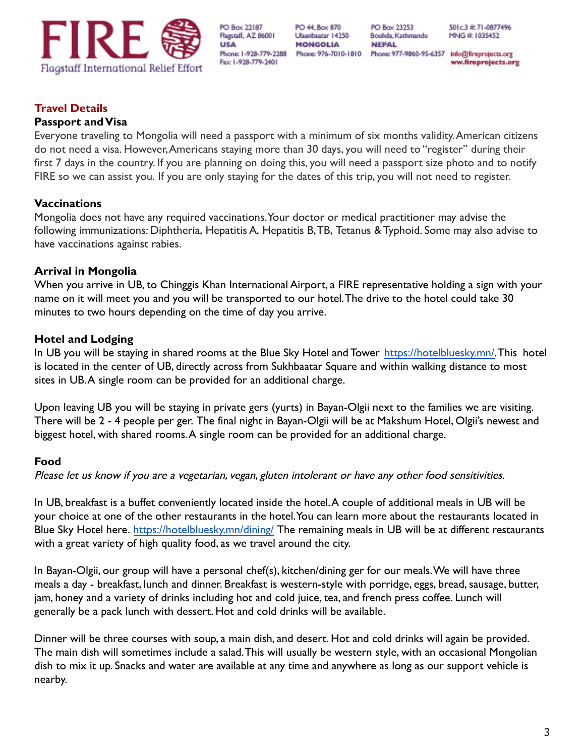

PO 44, Box 870 Ulaanbaatar 14250 **MONGOLIA** 

PO Box 23253 Bouhda, Kathmandu **NEPAL** 

501c.3 # 71-0877496 MNG #: 1035452

Phone: 976-7010-1810 Phone: 977-9860-95-6357 Info@fireprojects.org ww.fireprojects.org

## **Travel Details**

#### **Passport and Visa**

Everyone traveling to Mongolia will need a passport with a minimum of six months validity.American citizens do not need a visa. However,Americans staying more than 30 days, you will need to "register" during their first 7 days in the country. If you are planning on doing this, you will need a passport size photo and to notify FIRE so we can assist you. If you are only staying for the dates of this trip, you will not need to register.

## **Vaccinations**

Mongolia does not have any required vaccinations.Your doctor or medical practitioner may advise the following immunizations: Diphtheria, Hepatitis A, Hepatitis B,TB, Tetanus & Typhoid. Some may also advise to have vaccinations against rabies.

## **Arrival in Mongolia**

When you arrive in UB, to Chinggis Khan International Airport, a FIRE representative holding a sign with your name on it will meet you and you will be transported to our hotel.The drive to the hotel could take 30 minutes to two hours depending on the time of day you arrive.

## **Hotel and Lodging**

In UB you will be staying in shared rooms at the Blue Sky Hotel and Tower [https://hotelbluesky.mn/.](https://hotelbluesky.mn/) This hotel is located in the center of UB, directly across from Sukhbaatar Square and within walking distance to most sites in UB.A single room can be provided for an additional charge.

Upon leaving UB you will be staying in private gers (yurts) in Bayan-Olgii next to the families we are visiting. There will be 2 - 4 people per ger. The final night in Bayan-Olgii will be at Makshum Hotel, Olgii's newest and biggest hotel, with shared rooms.A single room can be provided for an additional charge.

## **Food**

Please let us know if you are a vegetarian, vegan, gluten intolerant or have any other food sensitivities.

In UB, breakfast is a buffet conveniently located inside the hotel.A couple of additional meals in UB will be your choice at one of the other restaurants in the hotel.You can learn more about the restaurants located in Blue Sky Hotel here. <https://hotelbluesky.mn/dining/> The remaining meals in UB will be at different restaurants with a great variety of high quality food, as we travel around the city.

In Bayan-Olgii, our group will have a personal chef(s), kitchen/dining ger for our meals.We will have three meals a day - breakfast, lunch and dinner. Breakfast is western-style with porridge, eggs, bread, sausage, butter, jam, honey and a variety of drinks including hot and cold juice, tea, and french press coffee. Lunch will generally be a pack lunch with dessert. Hot and cold drinks will be available.

Dinner will be three courses with soup, a main dish, and desert. Hot and cold drinks will again be provided. The main dish will sometimes include a salad.This will usually be western style, with an occasional Mongolian dish to mix it up. Snacks and water are available at any time and anywhere as long as our support vehicle is nearby.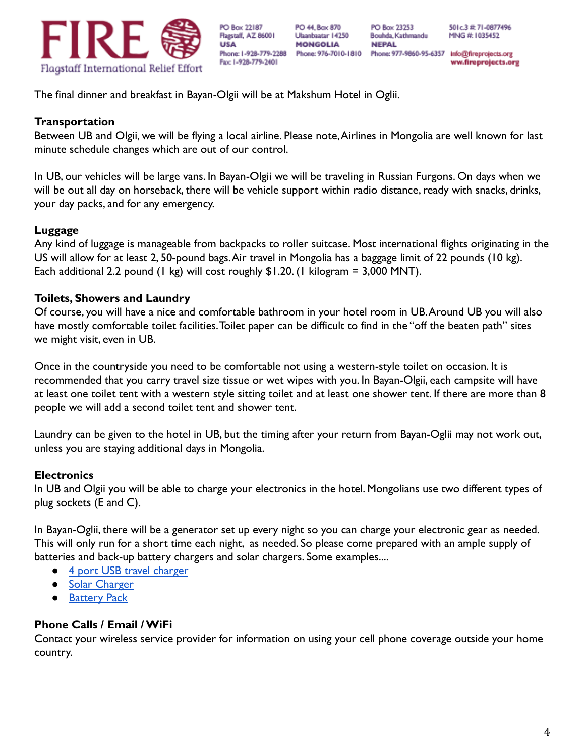

PO 44, Box 870 Ulaanbaatar 14250 **MONGOLIA** 

PO Box 23253

**NEPAL** 

Bouhda, Kathmandu

501c.3 # 71-0877496 MNG #: 1035452

Phone: 976-7010-1810 Phone: 977-9860-95-6357 Info@fireprojects.org ww.fireprojects.org

The final dinner and breakfast in Bayan-Olgii will be at Makshum Hotel in Oglii.

#### **Transportation**

Between UB and Olgii, we will be flying a local airline. Please note,Airlines in Mongolia are well known for last minute schedule changes which are out of our control.

In UB, our vehicles will be large vans. In Bayan-Olgii we will be traveling in Russian Furgons. On days when we will be out all day on horseback, there will be vehicle support within radio distance, ready with snacks, drinks, your day packs, and for any emergency.

## **Luggage**

Any kind of luggage is manageable from backpacks to roller suitcase. Most international flights originating in the US will allow for at least 2, 50-pound bags.Air travel in Mongolia has a baggage limit of 22 pounds (10 kg). Each additional 2.2 pound (1 kg) will cost roughly  $$1.20$ . (1 kilogram = 3,000 MNT).

## **Toilets, Showers and Laundry**

Of course, you will have a nice and comfortable bathroom in your hotel room in UB.Around UB you will also have mostly comfortable toilet facilities.Toilet paper can be difficult to find in the "off the beaten path" sites we might visit, even in UB.

Once in the countryside you need to be comfortable not using a western-style toilet on occasion. It is recommended that you carry travel size tissue or wet wipes with you. In Bayan-Olgii, each campsite will have at least one toilet tent with a western style sitting toilet and at least one shower tent. If there are more than 8 people we will add a second toilet tent and shower tent.

Laundry can be given to the hotel in UB, but the timing after your return from Bayan-Oglii may not work out, unless you are staying additional days in Mongolia.

## **Electronics**

In UB and Olgii you will be able to charge your electronics in the hotel. Mongolians use two different types of plug sockets (E and C).

In Bayan-Oglii, there will be a generator set up every night so you can charge your electronic gear as needed. This will only run for a short time each night, as needed. So please come prepared with an ample supply of batteries and back-up battery chargers and solar chargers. Some examples....

- [4 port USB travel charger](https://www.amazon.com/iKits-Certified-International-Technology-universal/dp/B019ES6OJE/ref=as_li_ss_tl?s=wireless&ie=UTF8&qid=1521403113&sr=1-3&keywords=iKits+4-Port+USB+Wall+Charger&linkCode=ll1&tag=wikiconnections-20&linkId=54dd96e809d3f9da39e13e2b46cfa0eb)
- **[Solar Charger](https://smile.amazon.com/gp/product/B01EXWCPLC/ref=ppx_yo_dt_b_search_asin_title?ie=UTF8&psc=1)**
- **[Battery Pack](https://smile.amazon.com/gp/product/B012NIQG5E/ref=ppx_yo_dt_b_search_asin_title?ie=UTF8&th=1)**

## **Phone Calls / Email / WiFi**

Contact your wireless service provider for information on using your cell phone coverage outside your home country.